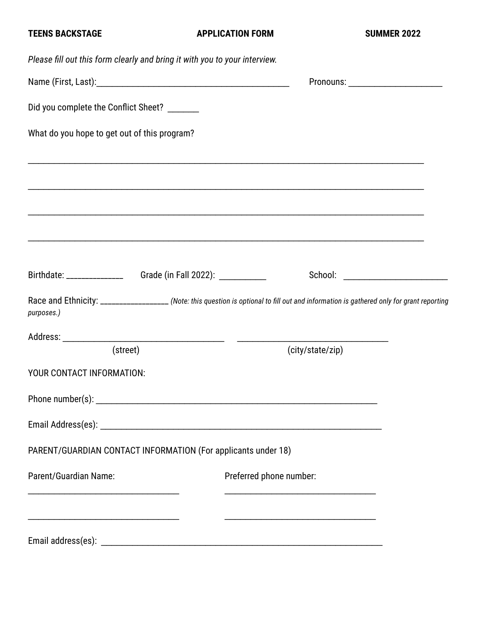| Please fill out this form clearly and bring it with you to your interview.       |                                                                                                                                                                                                                                      |  |
|----------------------------------------------------------------------------------|--------------------------------------------------------------------------------------------------------------------------------------------------------------------------------------------------------------------------------------|--|
|                                                                                  | Pronouns: ________________________                                                                                                                                                                                                   |  |
| Did you complete the Conflict Sheet? _______                                     |                                                                                                                                                                                                                                      |  |
| What do you hope to get out of this program?                                     |                                                                                                                                                                                                                                      |  |
|                                                                                  | ,我们也不会有什么?""我们的人,我们也不会有什么?""我们的人,我们也不会有什么?""我们的人,我们也不会有什么?""我们的人,我们也不会有什么?""我们的人                                                                                                                                                     |  |
|                                                                                  |                                                                                                                                                                                                                                      |  |
|                                                                                  | ,我们也不会有什么。""我们的人,我们也不会有什么?""我们的人,我们也不会有什么?""我们的人,我们也不会有什么?""我们的人,我们也不会有什么?""我们的人                                                                                                                                                     |  |
| Birthdate: ________________________Grade (in Fall 2022): _______________________ | School: <u>www.community.com and the set of the set of the set of the set of the set of the set of the set of the set of the set of the set of the set of the set of the set of the set of the set of the set of the set of the </u> |  |
| purposes.)                                                                       | Race and Ethnicity: _________________ (Note: this question is optional to fill out and information is gathered only for grant reporting                                                                                              |  |
|                                                                                  |                                                                                                                                                                                                                                      |  |
| (street)                                                                         | (city/state/zip)                                                                                                                                                                                                                     |  |
| YOUR CONTACT INFORMATION:                                                        |                                                                                                                                                                                                                                      |  |
|                                                                                  |                                                                                                                                                                                                                                      |  |
|                                                                                  |                                                                                                                                                                                                                                      |  |
| PARENT/GUARDIAN CONTACT INFORMATION (For applicants under 18)                    |                                                                                                                                                                                                                                      |  |
| Parent/Guardian Name:                                                            | Preferred phone number:<br><u> 1989 - Jan Barnett, fransk politiker (d. 1989)</u>                                                                                                                                                    |  |
|                                                                                  |                                                                                                                                                                                                                                      |  |
|                                                                                  |                                                                                                                                                                                                                                      |  |